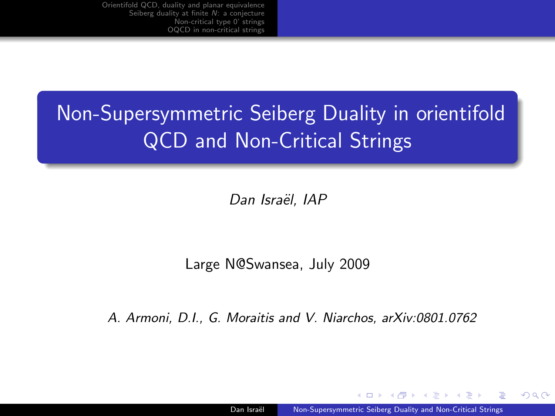# Non-Supersymmetric Seiberg Duality in orientifold QCD and Non-Critical Strings

Dan Israël, IAP

Large N@Swansea, July 2009

A. Armoni, D.I., G. Moraitis and V. Niarchos, arXiv:0801.0762

<span id="page-0-0"></span> $209$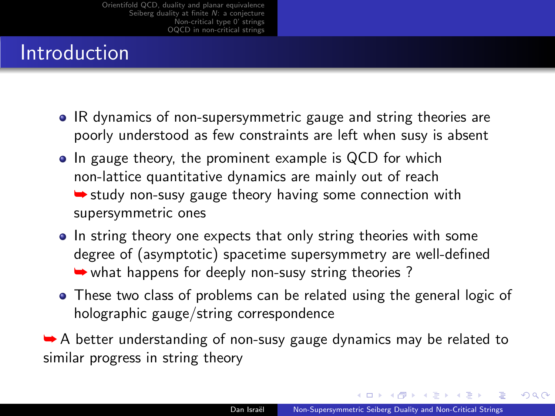## **Introduction**

- IR dynamics of non-supersymmetric gauge and string theories are poorly understood as few constraints are left when susy is absent
- In gauge theory, the prominent example is QCD for which non-lattice quantitative dynamics are mainly out of reach  $\rightarrow$  study non-susy gauge theory having some connection with supersymmetric ones
- In string theory one expects that only string theories with some degree of (asymptotic) spacetime supersymmetry are well-defined ➥ what happens for deeply non-susy string theories ?
- These two class of problems can be related using the general logic of holographic gauge/string correspondence

**► A** better understanding of non-susy gauge dynamics may be related to similar progress in string theory

 $QQ$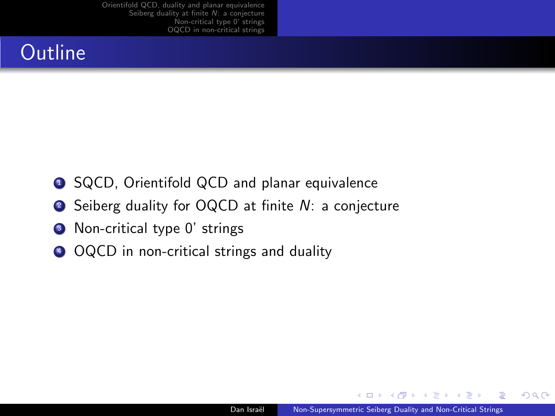## **Outline**

- **1** SQCD, Orientifold QCD and planar equivalence
- Seiberg duality for OQCD at finite *N*: a conjecture
- <sup>3</sup> Non-critical type 0' strings
- <sup>4</sup> OQCD in non-critical strings and duality

 $2990$ 

重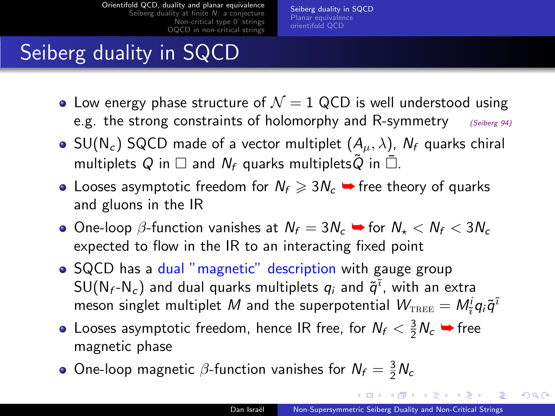[Seiberg duality in SQCD](#page-3-0) [Planar equivalence](#page-5-0) [orientifold QCD](#page-6-0)

# Seiberg duality in SQCD

- Low energy phase structure of  $\mathcal{N}=1$  QCD is well understood using e.g. the strong constraints of holomorphy and R-symmetry  $\frac{(Seiberg 94)}{2}$
- SU(N<sub>c</sub>) SQCD made of a vector multiplet  $(A_\mu, \lambda)$ , N<sub>f</sub> quarks chiral multiplets Q in  $\square$  and  $N_f$  quarks multiplets Q in  $\overline{\square}$ .
- Looses asymptotic freedom for  $N_f \geq 3N_c$   $\rightarrow$  free theory of quarks and gluons in the IR
- $\bullet$  One-loop β-function vanishes at  $N_f = 3N_c$   $\bullet$  for  $N_{\star} < N_f < 3N_c$ expected to flow in the IR to an interacting fixed point
- SQCD has a dual "magnetic" description with gauge group  $\mathsf{SU}(\mathsf{N}_f\text{-}\mathsf{N}_c)$  and dual quarks multiplets  $q_i$  and  $\tilde{q}^{\tilde{\imath}}$ , with an extra meson singlet multiplet  $M$  and the superpotential  $\mathcal{W}_{\text{\tiny{TREE}}} = M_{\tilde{i}}^i q_i \tilde{q}^{\tilde{i}}$
- Looses asymptotic freedom, hence IR free, for  $N_f < \frac{3}{2}N_c$   $\rightarrow$  free magnetic phase
- <span id="page-3-0"></span>One-loop magnetic  $\beta$ -function vanishes for  $N_f = \frac{3}{2}N_c$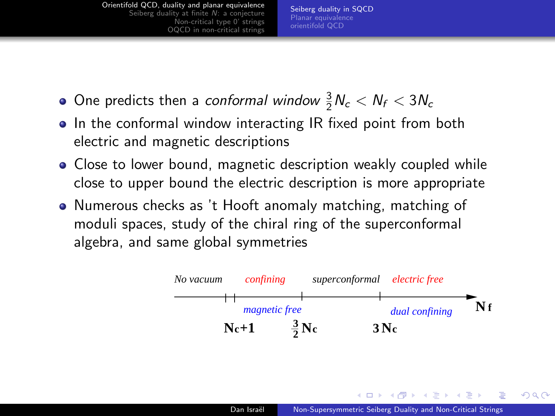[Seiberg duality in SQCD](#page-3-0) [Planar equivalence](#page-5-0) [orientifold QCD](#page-6-0)

- One predicts then a *conformal window*  $\frac{3}{2}N_c < N_f < 3N_c$
- In the conformal window interacting IR fixed point from both electric and magnetic descriptions
- Close to lower bound, magnetic description weakly coupled while close to upper bound the electric description is more appropriate
- Numerous checks as 't Hooft anomaly matching, matching of moduli spaces, study of the chiral ring of the superconformal algebra, and same global symmetries

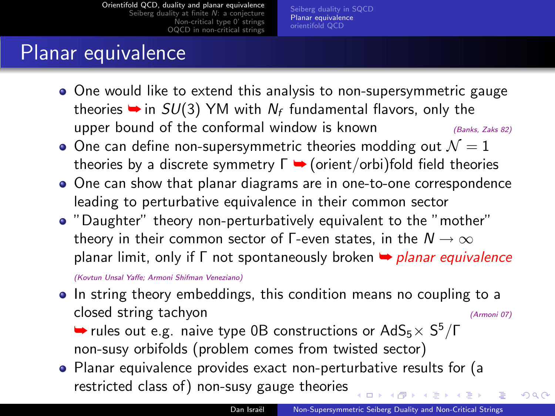[Seiberg duality in SQCD](#page-3-0) [Planar equivalence](#page-5-0) [orientifold QCD](#page-6-0)

## Planar equivalence

- One would like to extend this analysis to non-supersymmetric gauge theories  $\rightarrow$  in  $SU(3)$  YM with  $N_f$  fundamental flavors, only the upper bound of the conformal window is known  $(Banks, Zaks 82)$
- One can define non-supersymmetric theories modding out  $\mathcal{N}=1$ theories by a discrete symmetry  $\Gamma \rightarrow$  (orient/orbi)fold field theories
- One can show that planar diagrams are in one-to-one correspondence leading to perturbative equivalence in their common sector
- "Daughter" theory non-perturbatively equivalent to the "mother" theory in their common sector of  $\Gamma$ -even states, in the  $N \to \infty$ planar limit, only if  $\Gamma$  not spontaneously broken  $\rightarrow$  planar equivalence

(Kovtun Unsal Yaffe; Armoni Shifman Veneziano)

• In string theory embeddings, this condition means no coupling to a closed string tachyon (Armoni 07)

<span id="page-5-0"></span> $\blacktriangleright$  rules out e.g. naive type 0B constructions or AdS<sub>5</sub> $\times$  S<sup>5</sup>/Γ non-susy orbifolds (problem comes from twisted sector)

Planar equivalence provides exact non-perturbative results for (a restricted class of) non-susy gauge theories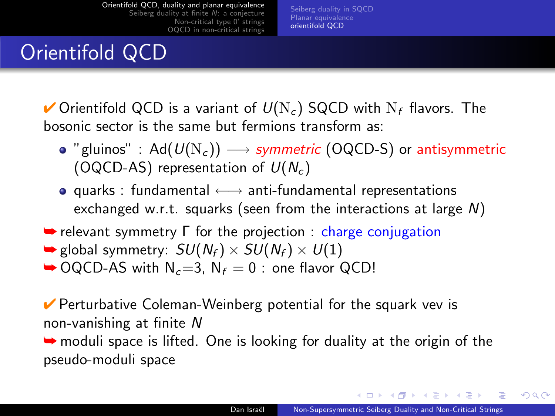[Seiberg duality in SQCD](#page-3-0) [Planar equivalence](#page-5-0) [orientifold QCD](#page-6-0)

## Orientifold QCD

 $\checkmark$  Orientifold QCD is a variant of  $U(N_c)$  SQCD with  $N_f$  flavors. The bosonic sector is the same but fermions transform as:

- "gluinos" : Ad( $U(N_c)$ )  $\longrightarrow$  symmetric (OQCD-S) or antisymmetric (OQCD-AS) representation of  $U(N_c)$
- **•** quarks : fundamental  $\longleftrightarrow$  anti-fundamental representations exchanged w.r.t. squarks (seen from the interactions at large N)
- $\rightarrow$  relevant symmetry  $\Gamma$  for the projection : charge conjugation
- $\blacktriangleright$  global symmetry:  $SU(N_f) \times SU(N_f) \times U(1)$
- $\rightarrow$  OQCD-AS with N<sub>c</sub>=3, N<sub>f</sub> = 0 : one flavor QCD!

 $\vee$  Perturbative Coleman-Weinberg potential for the squark vev is non-vanishing at finite N

➥ moduli space is lifted. One is looking for duality at the origin of the pseudo-moduli space

<span id="page-6-0"></span>**Allen Allen**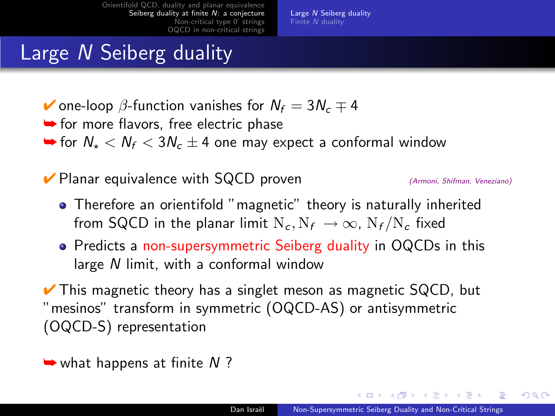#### Large N Seiberg duality

- $\blacktriangleright$  one-loop  $\beta$ -function vanishes for  $N_f = 3N_c \mp 4$
- **►** for more flavors, free electric phase
- $\rightarrow$  for  $N_{\star} < N_{f} < 3N_{c} \pm 4$  one may expect a conformal window

 $\triangledown$  Planar equivalence with SQCD proven  $\triangle$  (Armoni, Shifman, Veneziano)

**Alban Alba** 

<span id="page-7-0"></span> $\Omega$ 

- Therefore an orientifold "magnetic" theory is naturally inherited from SQCD in the planar limit  $N_c$ ,  $N_f \rightarrow \infty$ ,  $N_f/N_c$  fixed
- Predicts a non-supersymmetric Seiberg duality in OQCDs in this large N limit, with a conformal window

 $\vee$  This magnetic theory has a singlet meson as magnetic SQCD, but "mesinos" transform in symmetric (OQCD-AS) or antisymmetric (OQCD-S) representation

 $\rightarrow$  what happens at finite N ?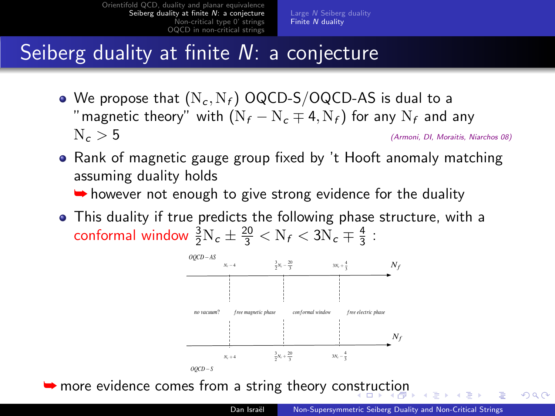# Seiberg duality at finite N: a conjecture

- We propose that  $(N_c, N_f)$  OQCD-S/OQCD-AS is dual to a "magnetic theory" with  $(N_f - N_c \mp 4, N_f)$  for any  $N_f$  and any  $N_c > 5$ (Armoni, DI, Moraitis, Niarchos 08)
- Rank of magnetic gauge group fixed by 't Hooft anomaly matching assuming duality holds
	- $\rightarrow$  however not enough to give strong evidence for the duality
- This duality if true predicts the following phase structure, with a conformal window  $\frac{3}{2}N_c \pm \frac{20}{3} < N_f < 3N_c \mp \frac{4}{3}$ :

<span id="page-8-0"></span>

**►** more evidence comes from a string theory co[nstr](#page-7-0)[uc](#page-9-0)[ti](#page-7-0)[on](#page-8-0)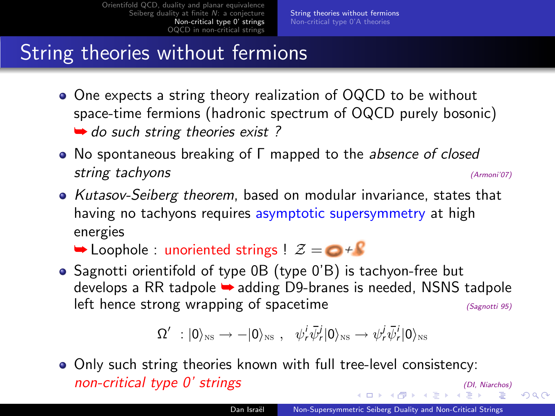## String theories without fermions

- One expects a string theory realization of OQCD to be without space-time fermions (hadronic spectrum of OQCD purely bosonic)  $\rightarrow$  do such string theories exist ?
- No spontaneous breaking of Γ mapped to the *absence of closed* string tachyons (Armoni'07)
- Kutasov-Seiberg theorem, based on modular invariance, states that having no tachyons requires asymptotic supersymmetry at high energies

 $\rightarrow$  Loophole : unoriented strings !  $\mathcal{Z} = \bigcirc \mathcal{Z}$ 

• Sagnotti orientifold of type 0B (type 0'B) is tachyon-free but develops a RR tadpole ➥ adding D9-branes is needed, NSNS tadpole left hence strong wrapping of spacetime  $(S_{\text{agnotti}})$   $(s_{\text{agnotti}})$ 

<span id="page-9-0"></span>
$$
\Omega'\ : |0\rangle_{\hbox{\tiny NS}}\to -|0\rangle_{\hbox{\tiny NS}}\ ,\quad \psi^i_r\bar\psi^j_r|0\rangle_{\hbox{\tiny NS}}\to \psi^j_r\bar\psi^i_r|0\rangle_{\hbox{\tiny NS}}
$$

Only such string theories known with full tree-level consistency:  $non-critical$  type  $0'$  strings [\(D](#page-9-0)[I,](#page-10-0) [N](#page-11-0)[iarch](#page-0-0)[os\)](#page-14-0)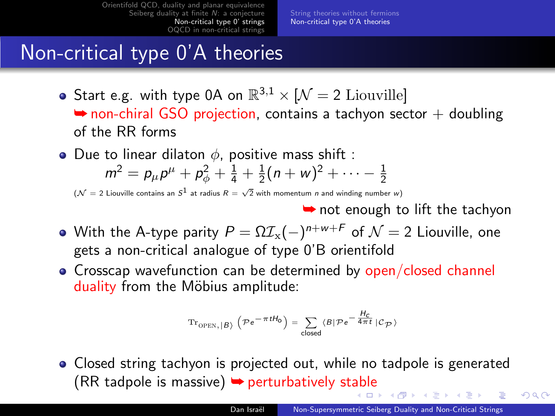[String theories without fermions](#page-9-0) [Non-critical type 0'A theories](#page-10-0)

#### Non-critical type 0'A theories

- Start e.g. with type 0A on  $\mathbb{R}^{3,1} \times [N = 2 \text{ Liouville}]$  $\rightarrow$  non-chiral GSO projection, contains a tachyon sector  $+$  doubling of the RR forms
- Due to linear dilaton  $\phi$ , positive mass shift :  $m^2 = p_\mu p^\mu + p_\phi^2 + \frac{1}{4} + \frac{1}{2}(n+w)^2 + \cdots - \frac{1}{2}$

 $({\cal N}=2$  Liouville contains an  $S^1$  at radius  $R=\sqrt{2}$  with momentum  $n$  and winding number  $w)$ 

**►** not enough to lift the tachyon

<span id="page-10-0"></span> $\Omega$ 

- With the A-type parity  $P = \Omega \mathcal{I}_x(-)^{n+w+F}$  of  $\mathcal{N} = 2$  Liouville, one gets a non-critical analogue of type 0'B orientifold
- Crosscap wavefunction can be determined by open/closed channel duality from the Möbius amplitude:

$$
\mathrm{Tr}_{\mathrm{OPEN}, \, \vert B \rangle} \, \left( \mathcal{P} \, e^{\displaystyle - \pi \, t H_{0}} \right) = \sum_{\mathsf{closed}} \, \langle B \vert \mathcal{P} \, e^{\displaystyle - \, \frac{H_{C}}{4 \pi \, t}} \, \vert \mathcal{C}_{\mathcal{P}} \, \rangle
$$

• Closed string tachyon is projected out, while no tadpole is generated  $(RR \tquad t \text{adpole}$  $(RR \tquad t \text{adpole}$  $(RR \tquad t \text{adpole}$  is massive)  $\rightarrow$  perturbatively st[ab](#page-9-0)le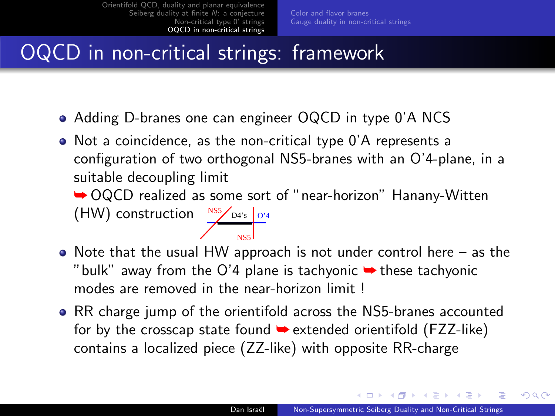# OQCD in non-critical strings: framework

Adding D-branes one can engineer OQCD in type 0'A NCS

<span id="page-11-0"></span>NS5

Not a coincidence, as the non-critical type 0'A represents a configuration of two orthogonal NS5-branes with an O'4-plane, in a suitable decoupling limit

➥ OQCD realized as some sort of "near-horizon" Hanany-Witten  $(HW)$  construction  $NSS/_{D4's}$   $\sigma_4$ 

- $\bullet$  Note that the usual HW approach is not under control here as the "bulk" away from the O'4 plane is tachyonic  $\rightarrow$  these tachyonic modes are removed in the near-horizon limit !
- RR charge jump of the orientifold across the NS5-branes accounted for by the crosscap state found  $\rightarrow$  extended orientifold (FZZ-like) contains a localized piece (ZZ-like) with opposite RR-charge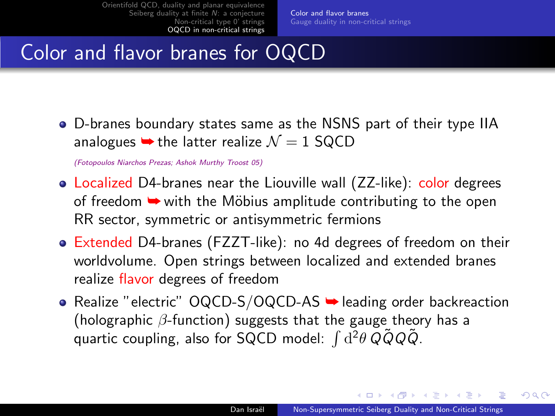# Color and flavor branes for OQCD

D-branes boundary states same as the NSNS part of their type IIA analogues  $\rightarrow$  the latter realize  $\mathcal{N} = 1$  SQCD

(Fotopoulos Niarchos Prezas; Ashok Murthy Troost 05)

- Localized D4-branes near the Liouville wall (ZZ-like): color degrees of freedom  $\rightarrow$  with the Möbius amplitude contributing to the open RR sector, symmetric or antisymmetric fermions
- Extended D4-branes (FZZT-like): no 4d degrees of freedom on their worldvolume. Open strings between localized and extended branes realize flavor degrees of freedom
- <span id="page-12-0"></span>• Realize "electric"  $OQCD-S/OQCD-AS$   $\rightarrow$  leading order backreaction (holographic  $\beta$ -function) suggests that the gauge theory has a quartic coupling, also for SQCD model:  $\int d^2\theta \, \tilde{Q} \tilde{Q} Q \tilde{Q}$ .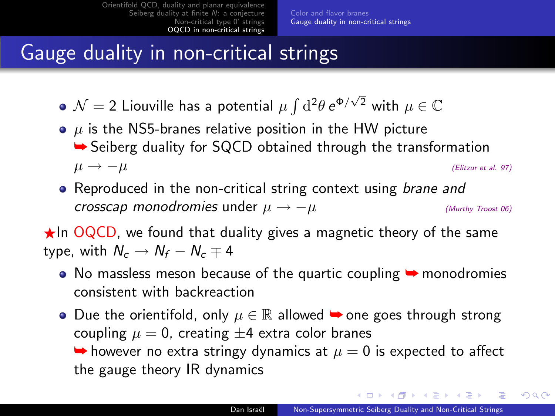## Gauge duality in non-critical strings

- $\mathcal{N}=2$  Liouville has a potential  $\mu\int\mathrm{d}^2\theta\,\mathrm{e}^{\Phi/\sqrt{2}}$  with  $\mu\in\mathbb{C}$
- $\bullet$   $\mu$  is the NS5-branes relative position in the HW picture **► Seiberg duality for SQCD obtained through the transformation**  $\mu \to -\mu$  (Elitzur et al. 97)
- Reproduced in the non-critical string context using brane and crosscap monodromies under  $\mu \rightarrow -\mu$  (Murthy Troost 06)

 $\star$ In OQCD, we found that duality gives a magnetic theory of the same type, with  $N_c \rightarrow N_f - N_c \mp 4$ 

- $\bullet$  No massless meson because of the quartic coupling  $\bullet$  monodromies consistent with backreaction
- Due the orientifold, only  $\mu \in \mathbb{R}$  allowed  $\rightarrow$  one goes through strong coupling  $\mu = 0$ , creating  $\pm 4$  extra color branes  $\rightarrow$  however no extra stringy dynamics at  $\mu = 0$  is expected to affect the gauge theory IR dynamics

メロメ メ母メ メミメ メミメ

<span id="page-13-0"></span> $2990$ 

 $\equiv$